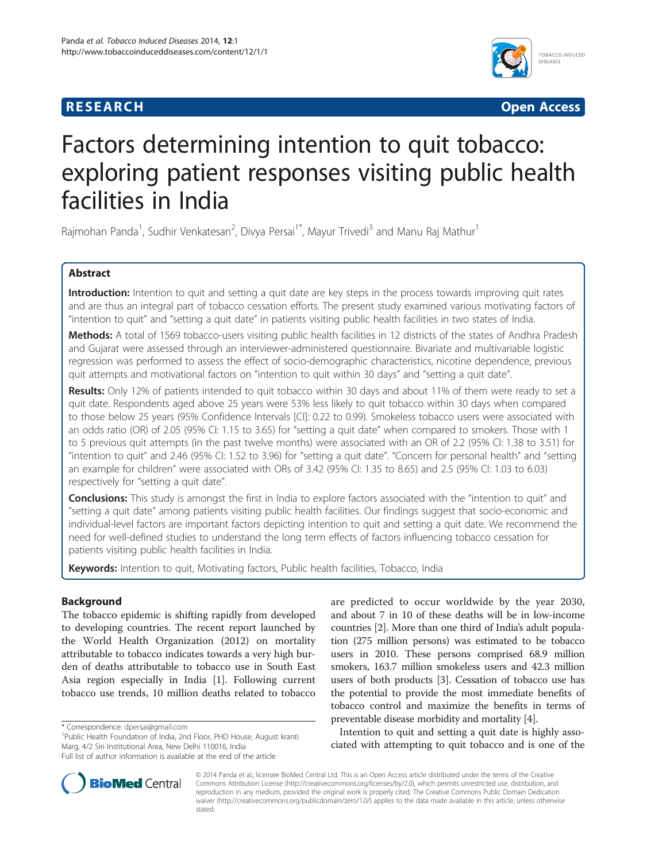



# Factors determining intention to quit tobacco: exploring patient responses visiting public health facilities in India

Rajmohan Panda<sup>1</sup>, Sudhir Venkatesan<sup>2</sup>, Divya Persai<sup>1\*</sup>, Mayur Trivedi<sup>3</sup> and Manu Raj Mathur<sup>1</sup>

# Abstract

Introduction: Intention to quit and setting a quit date are key steps in the process towards improving quit rates and are thus an integral part of tobacco cessation efforts. The present study examined various motivating factors of "intention to quit" and "setting a quit date" in patients visiting public health facilities in two states of India.

Methods: A total of 1569 tobacco-users visiting public health facilities in 12 districts of the states of Andhra Pradesh and Gujarat were assessed through an interviewer-administered questionnaire. Bivariate and multivariable logistic regression was performed to assess the effect of socio-demographic characteristics, nicotine dependence, previous quit attempts and motivational factors on "intention to quit within 30 days" and "setting a quit date".

Results: Only 12% of patients intended to quit tobacco within 30 days and about 11% of them were ready to set a quit date. Respondents aged above 25 years were 53% less likely to quit tobacco within 30 days when compared to those below 25 years (95% Confidence Intervals [CI]: 0.22 to 0.99). Smokeless tobacco users were associated with an odds ratio (OR) of 2.05 (95% CI: 1.15 to 3.65) for "setting a quit date" when compared to smokers. Those with 1 to 5 previous quit attempts (in the past twelve months) were associated with an OR of 2.2 (95% CI: 1.38 to 3.51) for "intention to quit" and 2.46 (95% CI: 1.52 to 3.96) for "setting a quit date". "Concern for personal health" and "setting an example for children" were associated with ORs of 3.42 (95% CI: 1.35 to 8.65) and 2.5 (95% CI: 1.03 to 6.03) respectively for "setting a quit date".

**Conclusions:** This study is amongst the first in India to explore factors associated with the "intention to quit" and "setting a quit date" among patients visiting public health facilities. Our findings suggest that socio-economic and individual-level factors are important factors depicting intention to quit and setting a quit date. We recommend the need for well-defined studies to understand the long term effects of factors influencing tobacco cessation for patients visiting public health facilities in India.

Keywords: Intention to quit, Motivating factors, Public health facilities, Tobacco, India

# Background

The tobacco epidemic is shifting rapidly from developed to developing countries. The recent report launched by the World Health Organization (2012) on mortality attributable to tobacco indicates towards a very high burden of deaths attributable to tobacco use in South East Asia region especially in India [\[1](#page-8-0)]. Following current tobacco use trends, 10 million deaths related to tobacco

\* Correspondence: [dpersai@gmail.com](mailto:dpersai@gmail.com) <sup>1</sup>

are predicted to occur worldwide by the year 2030, and about 7 in 10 of these deaths will be in low-income countries [[2](#page-8-0)]. More than one third of India's adult population (275 million persons) was estimated to be tobacco users in 2010. These persons comprised 68.9 million smokers, 163.7 million smokeless users and 42.3 million users of both products [\[3](#page-8-0)]. Cessation of tobacco use has the potential to provide the most immediate benefits of tobacco control and maximize the benefits in terms of preventable disease morbidity and mortality [\[4](#page-8-0)].

Intention to quit and setting a quit date is highly associated with attempting to quit tobacco and is one of the



© 2014 Panda et al.; licensee BioMed Central Ltd. This is an Open Access article distributed under the terms of the Creative Commons Attribution License [\(http://creativecommons.org/licenses/by/2.0\)](http://creativecommons.org/licenses/by/2.0), which permits unrestricted use, distribution, and reproduction in any medium, provided the original work is properly cited. The Creative Commons Public Domain Dedication waiver [\(http://creativecommons.org/publicdomain/zero/1.0/\)](http://creativecommons.org/publicdomain/zero/1.0/) applies to the data made available in this article, unless otherwise stated.

<sup>&</sup>lt;sup>1</sup>Public Health Foundation of India, 2nd Floor, PHD House, August kranti Marg, 4/2 Siri Institutional Area, New Delhi 110016, India

Full list of author information is available at the end of the article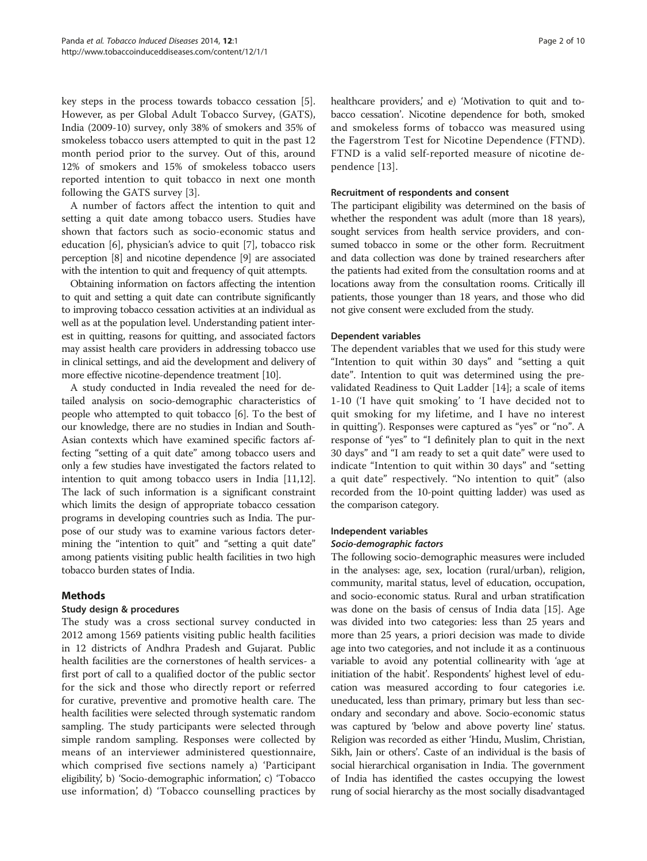key steps in the process towards tobacco cessation [\[5](#page-8-0)]. However, as per Global Adult Tobacco Survey, (GATS), India (2009-10) survey, only 38% of smokers and 35% of smokeless tobacco users attempted to quit in the past 12 month period prior to the survey. Out of this, around 12% of smokers and 15% of smokeless tobacco users reported intention to quit tobacco in next one month following the GATS survey [[3\]](#page-8-0).

A number of factors affect the intention to quit and setting a quit date among tobacco users. Studies have shown that factors such as socio-economic status and education [\[6](#page-8-0)], physician's advice to quit [[7\]](#page-8-0), tobacco risk perception [\[8](#page-8-0)] and nicotine dependence [[9](#page-8-0)] are associated with the intention to quit and frequency of quit attempts.

Obtaining information on factors affecting the intention to quit and setting a quit date can contribute significantly to improving tobacco cessation activities at an individual as well as at the population level. Understanding patient interest in quitting, reasons for quitting, and associated factors may assist health care providers in addressing tobacco use in clinical settings, and aid the development and delivery of more effective nicotine-dependence treatment [\[10\]](#page-8-0).

A study conducted in India revealed the need for detailed analysis on socio-demographic characteristics of people who attempted to quit tobacco [\[6\]](#page-8-0). To the best of our knowledge, there are no studies in Indian and South-Asian contexts which have examined specific factors affecting "setting of a quit date" among tobacco users and only a few studies have investigated the factors related to intention to quit among tobacco users in India [\[11,12](#page-8-0)]. The lack of such information is a significant constraint which limits the design of appropriate tobacco cessation programs in developing countries such as India. The purpose of our study was to examine various factors determining the "intention to quit" and "setting a quit date" among patients visiting public health facilities in two high tobacco burden states of India.

## Methods

## Study design & procedures

The study was a cross sectional survey conducted in 2012 among 1569 patients visiting public health facilities in 12 districts of Andhra Pradesh and Gujarat. Public health facilities are the cornerstones of health services- a first port of call to a qualified doctor of the public sector for the sick and those who directly report or referred for curative, preventive and promotive health care. The health facilities were selected through systematic random sampling. The study participants were selected through simple random sampling. Responses were collected by means of an interviewer administered questionnaire, which comprised five sections namely a) 'Participant eligibility, b) 'Socio-demographic information, c) 'Tobacco use information', d) 'Tobacco counselling practices by healthcare providers,' and e) 'Motivation to quit and tobacco cessation'. Nicotine dependence for both, smoked and smokeless forms of tobacco was measured using the Fagerstrom Test for Nicotine Dependence (FTND). FTND is a valid self-reported measure of nicotine dependence [[13\]](#page-8-0).

#### Recruitment of respondents and consent

The participant eligibility was determined on the basis of whether the respondent was adult (more than 18 years), sought services from health service providers, and consumed tobacco in some or the other form. Recruitment and data collection was done by trained researchers after the patients had exited from the consultation rooms and at locations away from the consultation rooms. Critically ill patients, those younger than 18 years, and those who did not give consent were excluded from the study.

#### Dependent variables

The dependent variables that we used for this study were "Intention to quit within 30 days" and "setting a quit date". Intention to quit was determined using the prevalidated Readiness to Quit Ladder [\[14](#page-8-0)]; a scale of items 1-10 ('I have quit smoking' to 'I have decided not to quit smoking for my lifetime, and I have no interest in quitting'). Responses were captured as "yes" or "no". A response of "yes" to "I definitely plan to quit in the next 30 days" and "I am ready to set a quit date" were used to indicate "Intention to quit within 30 days" and "setting a quit date" respectively. "No intention to quit" (also recorded from the 10-point quitting ladder) was used as the comparison category.

## Independent variables

## Socio-demographic factors

The following socio-demographic measures were included in the analyses: age, sex, location (rural/urban), religion, community, marital status, level of education, occupation, and socio-economic status. Rural and urban stratification was done on the basis of census of India data [\[15\]](#page-8-0). Age was divided into two categories: less than 25 years and more than 25 years, a priori decision was made to divide age into two categories, and not include it as a continuous variable to avoid any potential collinearity with 'age at initiation of the habit'. Respondents' highest level of education was measured according to four categories i.e. uneducated, less than primary, primary but less than secondary and secondary and above. Socio-economic status was captured by 'below and above poverty line' status. Religion was recorded as either 'Hindu, Muslim, Christian, Sikh, Jain or others'. Caste of an individual is the basis of social hierarchical organisation in India. The government of India has identified the castes occupying the lowest rung of social hierarchy as the most socially disadvantaged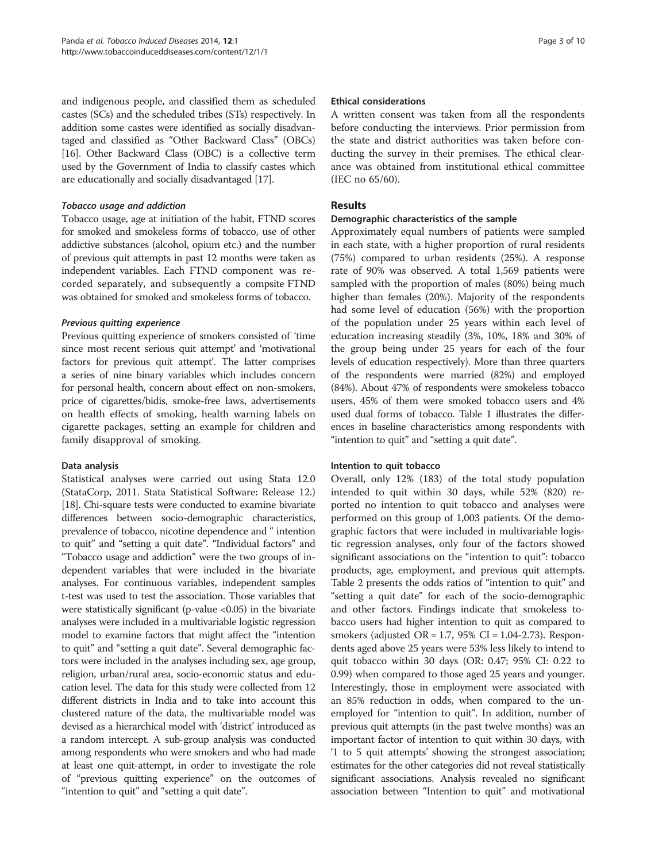and indigenous people, and classified them as scheduled castes (SCs) and the scheduled tribes (STs) respectively. In addition some castes were identified as socially disadvantaged and classified as "Other Backward Class" (OBCs) [[16](#page-8-0)]. Other Backward Class (OBC) is a collective term used by the Government of India to classify castes which are educationally and socially disadvantaged [\[17](#page-8-0)].

#### Tobacco usage and addiction

Tobacco usage, age at initiation of the habit, FTND scores for smoked and smokeless forms of tobacco, use of other addictive substances (alcohol, opium etc.) and the number of previous quit attempts in past 12 months were taken as independent variables. Each FTND component was recorded separately, and subsequently a compsite FTND was obtained for smoked and smokeless forms of tobacco.

## Previous quitting experience

Previous quitting experience of smokers consisted of 'time since most recent serious quit attempt' and 'motivational factors for previous quit attempt'. The latter comprises a series of nine binary variables which includes concern for personal health, concern about effect on non-smokers, price of cigarettes/bidis, smoke-free laws, advertisements on health effects of smoking, health warning labels on cigarette packages, setting an example for children and family disapproval of smoking.

## Data analysis

Statistical analyses were carried out using Stata 12.0 (StataCorp, 2011. Stata Statistical Software: Release 12.) [[18](#page-8-0)]. Chi-square tests were conducted to examine bivariate differences between socio-demographic characteristics, prevalence of tobacco, nicotine dependence and " intention to quit" and "setting a quit date". "Individual factors" and "Tobacco usage and addiction" were the two groups of independent variables that were included in the bivariate analyses. For continuous variables, independent samples t-test was used to test the association. Those variables that were statistically significant (p-value <0.05) in the bivariate analyses were included in a multivariable logistic regression model to examine factors that might affect the "intention to quit" and "setting a quit date". Several demographic factors were included in the analyses including sex, age group, religion, urban/rural area, socio-economic status and education level. The data for this study were collected from 12 different districts in India and to take into account this clustered nature of the data, the multivariable model was devised as a hierarchical model with 'district' introduced as a random intercept. A sub-group analysis was conducted among respondents who were smokers and who had made at least one quit-attempt, in order to investigate the role of "previous quitting experience" on the outcomes of "intention to quit" and "setting a quit date".

#### Ethical considerations

A written consent was taken from all the respondents before conducting the interviews. Prior permission from the state and district authorities was taken before conducting the survey in their premises. The ethical clearance was obtained from institutional ethical committee (IEC no 65/60).

## Results

## Demographic characteristics of the sample

Approximately equal numbers of patients were sampled in each state, with a higher proportion of rural residents (75%) compared to urban residents (25%). A response rate of 90% was observed. A total 1,569 patients were sampled with the proportion of males (80%) being much higher than females (20%). Majority of the respondents had some level of education (56%) with the proportion of the population under 25 years within each level of education increasing steadily (3%, 10%, 18% and 30% of the group being under 25 years for each of the four levels of education respectively). More than three quarters of the respondents were married (82%) and employed (84%). About 47% of respondents were smokeless tobacco users, 45% of them were smoked tobacco users and 4% used dual forms of tobacco. Table [1](#page-3-0) illustrates the differences in baseline characteristics among respondents with "intention to quit" and "setting a quit date".

## Intention to quit tobacco

Overall, only 12% (183) of the total study population intended to quit within 30 days, while 52% (820) reported no intention to quit tobacco and analyses were performed on this group of 1,003 patients. Of the demographic factors that were included in multivariable logistic regression analyses, only four of the factors showed significant associations on the "intention to quit": tobacco products, age, employment, and previous quit attempts. Table [2](#page-5-0) presents the odds ratios of "intention to quit" and "setting a quit date" for each of the socio-demographic and other factors. Findings indicate that smokeless tobacco users had higher intention to quit as compared to smokers (adjusted OR =  $1.7$ ,  $95\%$  CI =  $1.04$ -2.73). Respondents aged above 25 years were 53% less likely to intend to quit tobacco within 30 days (OR: 0.47; 95% CI: 0.22 to 0.99) when compared to those aged 25 years and younger. Interestingly, those in employment were associated with an 85% reduction in odds, when compared to the unemployed for "intention to quit". In addition, number of previous quit attempts (in the past twelve months) was an important factor of intention to quit within 30 days, with '1 to 5 quit attempts' showing the strongest association; estimates for the other categories did not reveal statistically significant associations. Analysis revealed no significant association between "Intention to quit" and motivational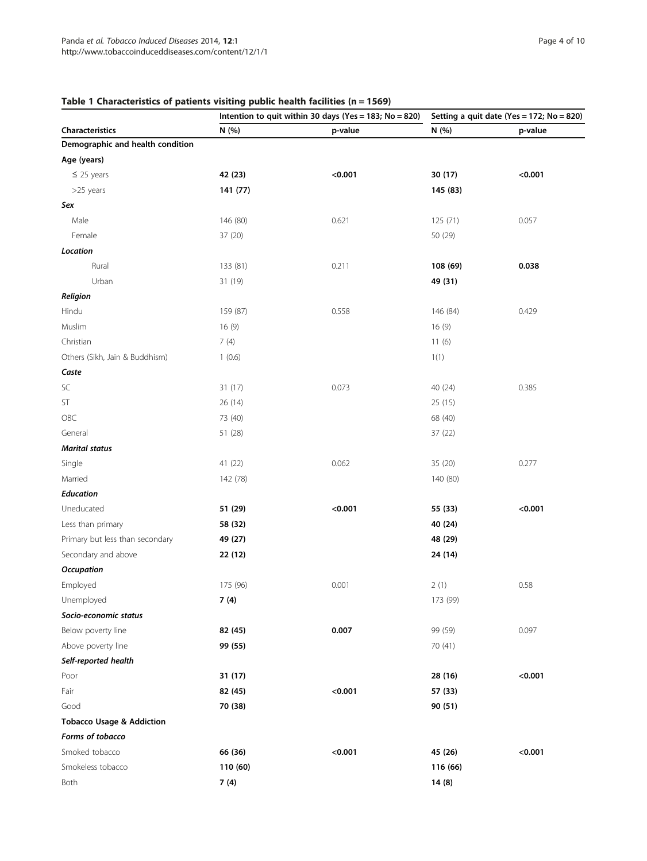| Characteristics                      | Intention to quit within 30 days (Yes = 183; No = 820) |         | Setting a quit date (Yes = 172; $No = 820$ ) |         |
|--------------------------------------|--------------------------------------------------------|---------|----------------------------------------------|---------|
|                                      | N (%)                                                  | p-value | N (%)                                        | p-value |
| Demographic and health condition     |                                                        |         |                                              |         |
| Age (years)                          |                                                        |         |                                              |         |
| $\leq$ 25 years                      | 42 (23)                                                | < 0.001 | 30 (17)                                      | < 0.001 |
| >25 years                            | 141 (77)                                               |         | 145 (83)                                     |         |
| Sex                                  |                                                        |         |                                              |         |
| Male                                 | 146 (80)                                               | 0.621   | 125 (71)                                     | 0.057   |
| Female                               | 37 (20)                                                |         | 50 (29)                                      |         |
| Location                             |                                                        |         |                                              |         |
| Rural                                | 133 (81)                                               | 0.211   | 108 (69)                                     | 0.038   |
| Urban                                | 31 (19)                                                |         | 49 (31)                                      |         |
| Religion                             |                                                        |         |                                              |         |
| Hindu                                | 159 (87)                                               | 0.558   | 146 (84)                                     | 0.429   |
| Muslim                               | 16(9)                                                  |         | 16(9)                                        |         |
| Christian                            | 7(4)                                                   |         | 11(6)                                        |         |
| Others (Sikh, Jain & Buddhism)       | 1(0.6)                                                 |         | 1(1)                                         |         |
| Caste                                |                                                        |         |                                              |         |
| SC                                   | 31 (17)                                                | 0.073   | 40 (24)                                      | 0.385   |
| ST                                   | 26 (14)                                                |         | 25(15)                                       |         |
| OBC                                  | 73 (40)                                                |         | 68 (40)                                      |         |
| General                              | 51 (28)                                                |         | 37 (22)                                      |         |
| <b>Marital status</b>                |                                                        |         |                                              |         |
| Single                               | 41 (22)                                                | 0.062   | 35 (20)                                      | 0.277   |
| Married                              | 142 (78)                                               |         | 140 (80)                                     |         |
| <b>Education</b>                     |                                                        |         |                                              |         |
| Uneducated                           | 51 (29)                                                | < 0.001 | 55 (33)                                      | < 0.001 |
| Less than primary                    | 58 (32)                                                |         | 40 (24)                                      |         |
| Primary but less than secondary      | 49 (27)                                                |         | 48 (29)                                      |         |
| Secondary and above                  | 22 (12)                                                |         | 24 (14)                                      |         |
| <b>Occupation</b>                    |                                                        |         |                                              |         |
| Employed                             | 175 (96)                                               | 0.001   | 2(1)                                         | 0.58    |
| Unemployed                           | 7(4)                                                   |         | 173 (99)                                     |         |
| Socio-economic status                |                                                        |         |                                              |         |
| Below poverty line                   | 82 (45)                                                | 0.007   | 99 (59)                                      | 0.097   |
| Above poverty line                   | 99 (55)                                                |         | 70 (41)                                      |         |
| Self-reported health                 |                                                        |         |                                              |         |
| Poor                                 | 31 (17)                                                |         | 28 (16)                                      | < 0.001 |
| Fair                                 | 82 (45)                                                | < 0.001 | 57 (33)                                      |         |
| Good                                 | 70 (38)                                                |         | 90 (51)                                      |         |
| <b>Tobacco Usage &amp; Addiction</b> |                                                        |         |                                              |         |
| Forms of tobacco                     |                                                        |         |                                              |         |
| Smoked tobacco                       | 66 (36)                                                | < 0.001 | 45 (26)                                      | < 0.001 |
| Smokeless tobacco                    | 110 (60)                                               |         | 116 (66)                                     |         |
| Both                                 | 7(4)                                                   |         | 14(8)                                        |         |

## <span id="page-3-0"></span>Table 1 Characteristics of patients visiting public health facilities (n = 1569)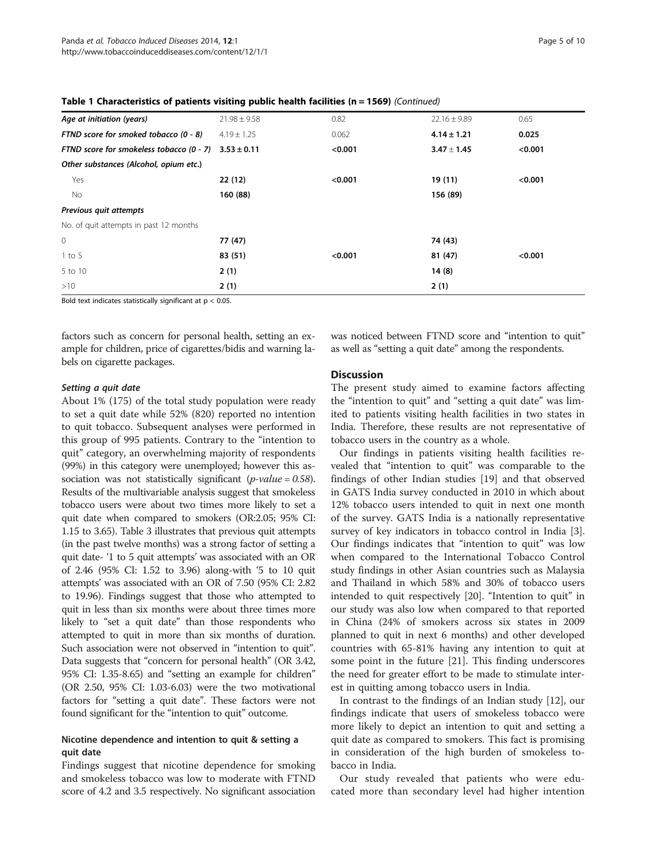| Age at initiation (years)                                | $21.98 \pm 9.58$ | 0.82    | $22.16 \pm 9.89$ | 0.65    |
|----------------------------------------------------------|------------------|---------|------------------|---------|
| FTND score for smoked tobacco (0 - 8)                    | $4.19 \pm 1.25$  | 0.062   | $4.14 \pm 1.21$  | 0.025   |
| FTND score for smokeless tobacco (0 - 7) $3.53 \pm 0.11$ |                  | < 0.001 | $3.47 \pm 1.45$  | < 0.001 |
| Other substances (Alcohol, opium etc.)                   |                  |         |                  |         |
| Yes                                                      | 22(12)           | < 0.001 | 19 (11)          | < 0.001 |
| No                                                       | 160 (88)         |         | 156 (89)         |         |
| Previous quit attempts                                   |                  |         |                  |         |
| No. of quit attempts in past 12 months                   |                  |         |                  |         |
| $\mathbf{0}$                                             | 77 (47)          |         | 74 (43)          |         |
| $1$ to 5                                                 | 83 (51)          | < 0.001 | 81 (47)          | < 0.001 |
| 5 to 10                                                  | 2(1)             |         | 14(8)            |         |
| >10                                                      | 2(1)             |         | 2(1)             |         |
|                                                          |                  |         |                  |         |

Table 1 Characteristics of patients visiting public health facilities (n = 1569) (Continued)

Bold text indicates statistically significant at  $p < 0.05$ .

factors such as concern for personal health, setting an example for children, price of cigarettes/bidis and warning labels on cigarette packages.

#### Setting a quit date

About 1% (175) of the total study population were ready to set a quit date while 52% (820) reported no intention to quit tobacco. Subsequent analyses were performed in this group of 995 patients. Contrary to the "intention to quit" category, an overwhelming majority of respondents (99%) in this category were unemployed; however this association was not statistically significant (*p-value* =  $0.58$ ). Results of the multivariable analysis suggest that smokeless tobacco users were about two times more likely to set a quit date when compared to smokers (OR:2.05; 95% CI: 1.15 to 3.65). Table [3](#page-6-0) illustrates that previous quit attempts (in the past twelve months) was a strong factor of setting a quit date- '1 to 5 quit attempts' was associated with an OR of 2.46 (95% CI: 1.52 to 3.96) along-with '5 to 10 quit attempts' was associated with an OR of 7.50 (95% CI: 2.82 to 19.96). Findings suggest that those who attempted to quit in less than six months were about three times more likely to "set a quit date" than those respondents who attempted to quit in more than six months of duration. Such association were not observed in "intention to quit". Data suggests that "concern for personal health" (OR 3.42, 95% CI: 1.35-8.65) and "setting an example for children" (OR 2.50, 95% CI: 1.03-6.03) were the two motivational factors for "setting a quit date". These factors were not found significant for the "intention to quit" outcome.

## Nicotine dependence and intention to quit & setting a quit date

Findings suggest that nicotine dependence for smoking and smokeless tobacco was low to moderate with FTND score of 4.2 and 3.5 respectively. No significant association

was noticed between FTND score and "intention to quit" as well as "setting a quit date" among the respondents.

#### **Discussion**

The present study aimed to examine factors affecting the "intention to quit" and "setting a quit date" was limited to patients visiting health facilities in two states in India. Therefore, these results are not representative of tobacco users in the country as a whole.

Our findings in patients visiting health facilities revealed that "intention to quit" was comparable to the findings of other Indian studies [\[19](#page-8-0)] and that observed in GATS India survey conducted in 2010 in which about 12% tobacco users intended to quit in next one month of the survey. GATS India is a nationally representative survey of key indicators in tobacco control in India [\[3](#page-8-0)]. Our findings indicates that "intention to quit" was low when compared to the International Tobacco Control study findings in other Asian countries such as Malaysia and Thailand in which 58% and 30% of tobacco users intended to quit respectively [[20\]](#page-8-0). "Intention to quit" in our study was also low when compared to that reported in China (24% of smokers across six states in 2009 planned to quit in next 6 months) and other developed countries with 65-81% having any intention to quit at some point in the future [[21\]](#page-8-0). This finding underscores the need for greater effort to be made to stimulate interest in quitting among tobacco users in India.

In contrast to the findings of an Indian study [\[12\]](#page-8-0), our findings indicate that users of smokeless tobacco were more likely to depict an intention to quit and setting a quit date as compared to smokers. This fact is promising in consideration of the high burden of smokeless tobacco in India.

Our study revealed that patients who were educated more than secondary level had higher intention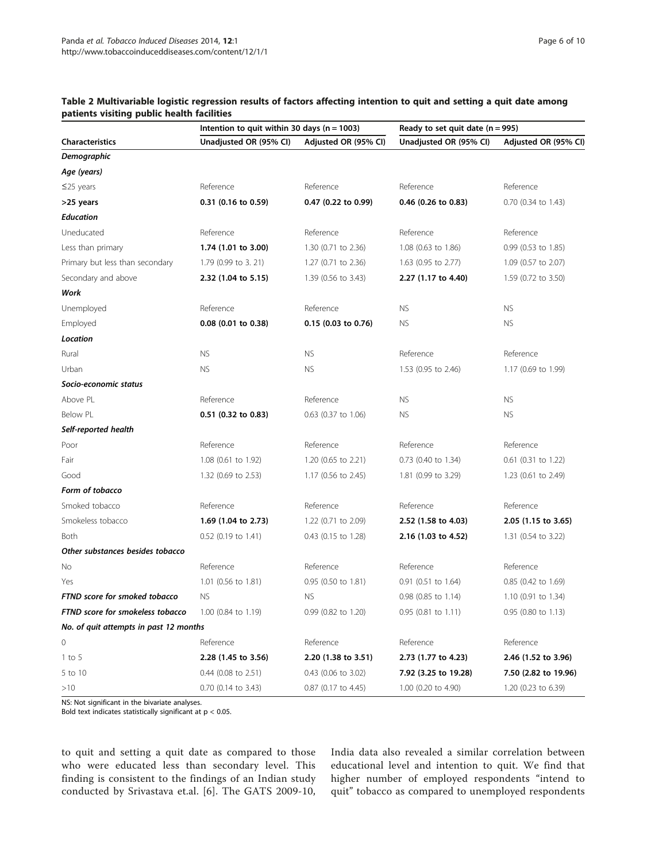|                                        | Intention to quit within 30 days ( $n = 1003$ ) |                       | Ready to set quit date $(n = 995)$ |                      |  |
|----------------------------------------|-------------------------------------------------|-----------------------|------------------------------------|----------------------|--|
| <b>Characteristics</b>                 | Unadjusted OR (95% CI)                          | Adjusted OR (95% CI)  | Unadjusted OR (95% CI)             | Adjusted OR (95% CI) |  |
| <b>Demographic</b>                     |                                                 |                       |                                    |                      |  |
| Age (years)                            |                                                 |                       |                                    |                      |  |
| $\leq$ 25 years                        | Reference                                       | Reference             | Reference                          | Reference            |  |
| >25 years                              | $0.31$ (0.16 to 0.59)                           | 0.47 (0.22 to 0.99)   | 0.46 (0.26 to 0.83)                | 0.70 (0.34 to 1.43)  |  |
| <b>Education</b>                       |                                                 |                       |                                    |                      |  |
| Uneducated                             | Reference                                       | Reference             | Reference                          | Reference            |  |
| Less than primary                      | 1.74 (1.01 to 3.00)                             | 1.30 (0.71 to 2.36)   | 1.08 (0.63 to 1.86)                | 0.99 (0.53 to 1.85)  |  |
| Primary but less than secondary        | 1.79 (0.99 to 3. 21)                            | 1.27 (0.71 to 2.36)   | 1.63 (0.95 to 2.77)                | 1.09 (0.57 to 2.07)  |  |
| Secondary and above                    | 2.32 (1.04 to 5.15)                             | 1.39 (0.56 to 3.43)   | 2.27 (1.17 to 4.40)                | 1.59 (0.72 to 3.50)  |  |
| Work                                   |                                                 |                       |                                    |                      |  |
| Unemployed                             | Reference                                       | Reference             | <b>NS</b>                          | <b>NS</b>            |  |
| Employed                               | 0.08 (0.01 to 0.38)                             | $0.15$ (0.03 to 0.76) | <b>NS</b>                          | <b>NS</b>            |  |
| Location                               |                                                 |                       |                                    |                      |  |
| Rural                                  | <b>NS</b>                                       | <b>NS</b>             | Reference                          | Reference            |  |
| Urban                                  | <b>NS</b>                                       | <b>NS</b>             | 1.53 (0.95 to 2.46)                | 1.17 (0.69 to 1.99)  |  |
| Socio-economic status                  |                                                 |                       |                                    |                      |  |
| Above PL                               | Reference                                       | Reference             | <b>NS</b>                          | <b>NS</b>            |  |
| Below PL                               | 0.51 (0.32 to 0.83)                             | 0.63 (0.37 to 1.06)   | <b>NS</b>                          | <b>NS</b>            |  |
| Self-reported health                   |                                                 |                       |                                    |                      |  |
| Poor                                   | Reference                                       | Reference             | Reference                          | Reference            |  |
| Fair                                   | 1.08 (0.61 to 1.92)                             | 1.20 (0.65 to 2.21)   | 0.73 (0.40 to 1.34)                | 0.61 (0.31 to 1.22)  |  |
| Good                                   | 1.32 (0.69 to 2.53)                             | 1.17 (0.56 to 2.45)   | 1.81 (0.99 to 3.29)                | 1.23 (0.61 to 2.49)  |  |
| Form of tobacco                        |                                                 |                       |                                    |                      |  |
| Smoked tobacco                         | Reference                                       | Reference             | Reference                          | Reference            |  |
| Smokeless tobacco                      | 1.69 (1.04 to 2.73)                             | 1.22 (0.71 to 2.09)   | 2.52 (1.58 to 4.03)                | 2.05 (1.15 to 3.65)  |  |
| Both                                   | 0.52 (0.19 to 1.41)                             | 0.43 (0.15 to 1.28)   | 2.16 (1.03 to 4.52)                | 1.31 (0.54 to 3.22)  |  |
| Other substances besides tobacco       |                                                 |                       |                                    |                      |  |
| No                                     | Reference                                       | Reference             | Reference                          | Reference            |  |
| Yes                                    | 1.01 (0.56 to 1.81)                             | 0.95 (0.50 to 1.81)   | 0.91 (0.51 to 1.64)                | 0.85 (0.42 to 1.69)  |  |
| FTND score for smoked tobacco          | <b>NS</b>                                       | <b>NS</b>             | 0.98 (0.85 to 1.14)                | 1.10 (0.91 to 1.34)  |  |
| FTND score for smokeless tobacco       | 1.00 (0.84 to 1.19)                             | 0.99 (0.82 to 1.20)   | 0.95 (0.81 to 1.11)                | 0.95 (0.80 to 1.13)  |  |
| No. of quit attempts in past 12 months |                                                 |                       |                                    |                      |  |
| 0                                      | Reference                                       | Reference             | Reference                          | Reference            |  |
| $1$ to 5                               | 2.28 (1.45 to 3.56)                             | 2.20 (1.38 to 3.51)   | 2.73 (1.77 to 4.23)                | 2.46 (1.52 to 3.96)  |  |
| 5 to 10                                | $0.44$ (0.08 to 2.51)                           | 0.43 (0.06 to 3.02)   | 7.92 (3.25 to 19.28)               | 7.50 (2.82 to 19.96) |  |
| >10                                    | $0.70$ (0.14 to 3.43)                           | 0.87 (0.17 to 4.45)   | 1.00 (0.20 to 4.90)                | 1.20 (0.23 to 6.39)  |  |

#### <span id="page-5-0"></span>Table 2 Multivariable logistic regression results of factors affecting intention to quit and setting a quit date among patients visiting public health facilities

NS: Not significant in the bivariate analyses.

Bold text indicates statistically significant at  $p < 0.05$ .

to quit and setting a quit date as compared to those who were educated less than secondary level. This finding is consistent to the findings of an Indian study conducted by Srivastava et.al. [[6](#page-8-0)]. The GATS 2009-10,

India data also revealed a similar correlation between educational level and intention to quit. We find that higher number of employed respondents "intend to quit" tobacco as compared to unemployed respondents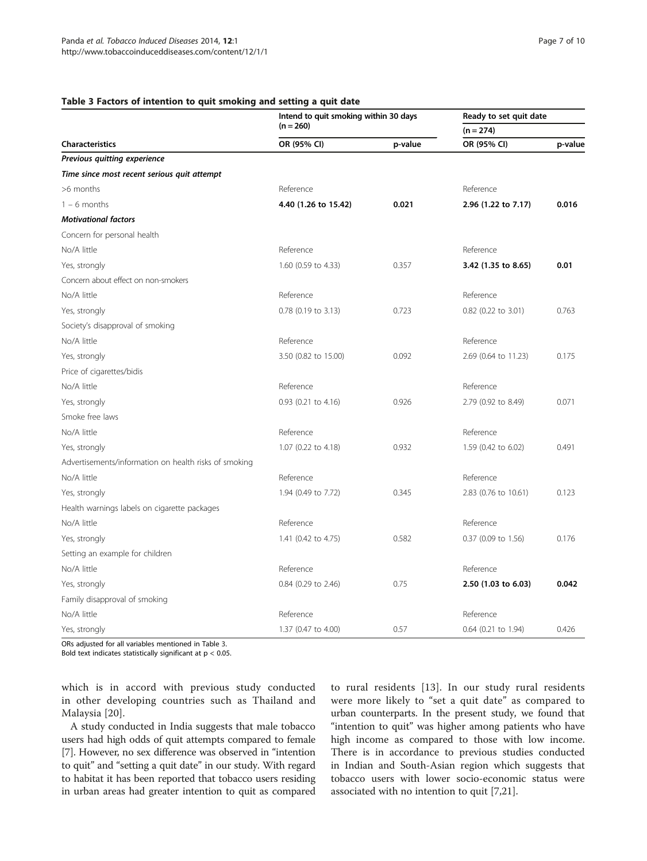#### <span id="page-6-0"></span>Table 3 Factors of intention to quit smoking and setting a quit date

|                                                       | Intend to quit smoking within 30 days | Ready to set quit date |                      |         |  |
|-------------------------------------------------------|---------------------------------------|------------------------|----------------------|---------|--|
|                                                       | $(n = 260)$                           |                        | $(n = 274)$          |         |  |
| <b>Characteristics</b>                                | OR (95% CI)                           | p-value                | OR (95% CI)          | p-value |  |
| Previous quitting experience                          |                                       |                        |                      |         |  |
| Time since most recent serious quit attempt           |                                       |                        |                      |         |  |
| >6 months                                             | Reference                             |                        | Reference            |         |  |
| $1 - 6$ months                                        | 4.40 (1.26 to 15.42)                  | 0.021                  | 2.96 (1.22 to 7.17)  | 0.016   |  |
| <b>Motivational factors</b>                           |                                       |                        |                      |         |  |
| Concern for personal health                           |                                       |                        |                      |         |  |
| No/A little                                           | Reference                             |                        | Reference            |         |  |
| Yes, strongly                                         | 1.60 (0.59 to 4.33)                   | 0.357                  | 3.42 (1.35 to 8.65)  | 0.01    |  |
| Concern about effect on non-smokers                   |                                       |                        |                      |         |  |
| No/A little                                           | Reference                             |                        | Reference            |         |  |
| Yes, strongly                                         | 0.78 (0.19 to 3.13)                   | 0.723                  | 0.82 (0.22 to 3.01)  | 0.763   |  |
| Society's disapproval of smoking                      |                                       |                        |                      |         |  |
| No/A little                                           | Reference                             |                        | Reference            |         |  |
| Yes, strongly                                         | 3.50 (0.82 to 15.00)                  | 0.092                  | 2.69 (0.64 to 11.23) | 0.175   |  |
| Price of cigarettes/bidis                             |                                       |                        |                      |         |  |
| No/A little                                           | Reference                             |                        | Reference            |         |  |
| Yes, strongly                                         | 0.93 (0.21 to 4.16)                   | 0.926                  | 2.79 (0.92 to 8.49)  | 0.071   |  |
| Smoke free laws                                       |                                       |                        |                      |         |  |
| No/A little                                           | Reference                             |                        | Reference            |         |  |
| Yes, strongly                                         | 1.07 (0.22 to 4.18)                   | 0.932                  | 1.59 (0.42 to 6.02)  | 0.491   |  |
| Advertisements/information on health risks of smoking |                                       |                        |                      |         |  |
| No/A little                                           | Reference                             |                        | Reference            |         |  |
| Yes, strongly                                         | 1.94 (0.49 to 7.72)                   | 0.345                  | 2.83 (0.76 to 10.61) | 0.123   |  |
| Health warnings labels on cigarette packages          |                                       |                        |                      |         |  |
| No/A little                                           | Reference                             |                        | Reference            |         |  |
| Yes, strongly                                         | 1.41 (0.42 to 4.75)                   | 0.582                  | 0.37 (0.09 to 1.56)  | 0.176   |  |
| Setting an example for children                       |                                       |                        |                      |         |  |
| No/A little                                           | Reference                             |                        | Reference            |         |  |
| Yes, strongly                                         | 0.84 (0.29 to 2.46)                   | 0.75                   | 2.50 (1.03 to 6.03)  | 0.042   |  |
| Family disapproval of smoking                         |                                       |                        |                      |         |  |
| No/A little                                           | Reference                             |                        | Reference            |         |  |
| Yes, strongly                                         | 1.37 (0.47 to 4.00)                   | 0.57                   | 0.64 (0.21 to 1.94)  | 0.426   |  |

ORs adjusted for all variables mentioned in Table 3.

Bold text indicates statistically significant at  $p < 0.05$ .

which is in accord with previous study conducted in other developing countries such as Thailand and Malaysia [\[20\]](#page-8-0).

A study conducted in India suggests that male tobacco users had high odds of quit attempts compared to female [[7\]](#page-8-0). However, no sex difference was observed in "intention to quit" and "setting a quit date" in our study. With regard to habitat it has been reported that tobacco users residing in urban areas had greater intention to quit as compared to rural residents [\[13](#page-8-0)]. In our study rural residents were more likely to "set a quit date" as compared to urban counterparts. In the present study, we found that "intention to quit" was higher among patients who have high income as compared to those with low income. There is in accordance to previous studies conducted in Indian and South-Asian region which suggests that tobacco users with lower socio-economic status were associated with no intention to quit [[7,21\]](#page-8-0).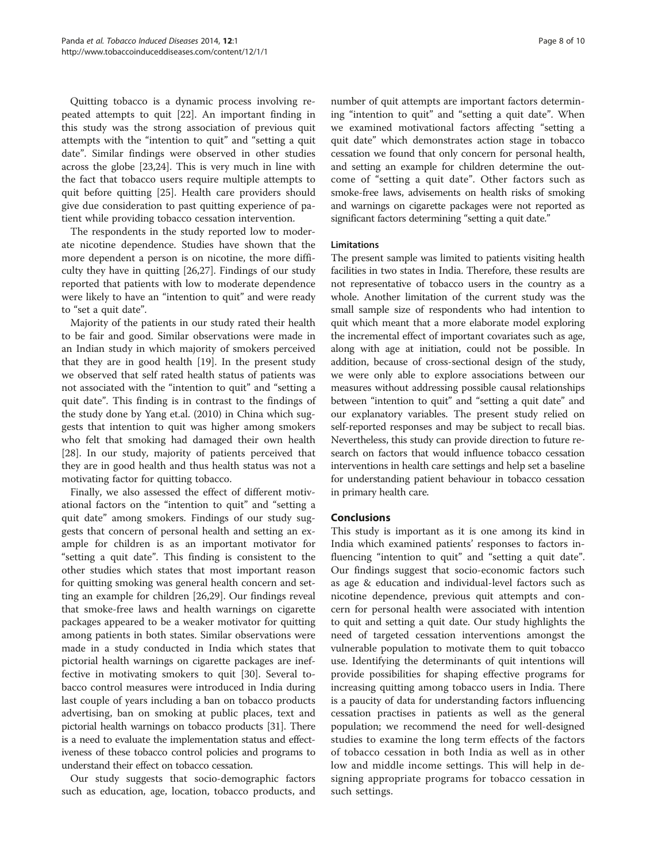Quitting tobacco is a dynamic process involving repeated attempts to quit [\[22\]](#page-8-0). An important finding in this study was the strong association of previous quit attempts with the "intention to quit" and "setting a quit date". Similar findings were observed in other studies across the globe [\[23,24\]](#page-8-0). This is very much in line with the fact that tobacco users require multiple attempts to quit before quitting [\[25](#page-8-0)]. Health care providers should give due consideration to past quitting experience of patient while providing tobacco cessation intervention.

The respondents in the study reported low to moderate nicotine dependence. Studies have shown that the more dependent a person is on nicotine, the more difficulty they have in quitting [[26,27\]](#page-8-0). Findings of our study reported that patients with low to moderate dependence were likely to have an "intention to quit" and were ready to "set a quit date".

Majority of the patients in our study rated their health to be fair and good. Similar observations were made in an Indian study in which majority of smokers perceived that they are in good health [[19](#page-8-0)]. In the present study we observed that self rated health status of patients was not associated with the "intention to quit" and "setting a quit date". This finding is in contrast to the findings of the study done by Yang et.al. (2010) in China which suggests that intention to quit was higher among smokers who felt that smoking had damaged their own health [[28\]](#page-8-0). In our study, majority of patients perceived that they are in good health and thus health status was not a motivating factor for quitting tobacco.

Finally, we also assessed the effect of different motivational factors on the "intention to quit" and "setting a quit date" among smokers. Findings of our study suggests that concern of personal health and setting an example for children is as an important motivator for "setting a quit date". This finding is consistent to the other studies which states that most important reason for quitting smoking was general health concern and setting an example for children [[26](#page-8-0),[29](#page-8-0)]. Our findings reveal that smoke-free laws and health warnings on cigarette packages appeared to be a weaker motivator for quitting among patients in both states. Similar observations were made in a study conducted in India which states that pictorial health warnings on cigarette packages are ineffective in motivating smokers to quit [[30\]](#page-9-0). Several tobacco control measures were introduced in India during last couple of years including a ban on tobacco products advertising, ban on smoking at public places, text and pictorial health warnings on tobacco products [[31](#page-9-0)]. There is a need to evaluate the implementation status and effectiveness of these tobacco control policies and programs to understand their effect on tobacco cessation.

Our study suggests that socio-demographic factors such as education, age, location, tobacco products, and

number of quit attempts are important factors determining "intention to quit" and "setting a quit date". When we examined motivational factors affecting "setting a quit date" which demonstrates action stage in tobacco cessation we found that only concern for personal health, and setting an example for children determine the outcome of "setting a quit date". Other factors such as smoke-free laws, advisements on health risks of smoking and warnings on cigarette packages were not reported as significant factors determining "setting a quit date."

#### Limitations

The present sample was limited to patients visiting health facilities in two states in India. Therefore, these results are not representative of tobacco users in the country as a whole. Another limitation of the current study was the small sample size of respondents who had intention to quit which meant that a more elaborate model exploring the incremental effect of important covariates such as age, along with age at initiation, could not be possible. In addition, because of cross-sectional design of the study, we were only able to explore associations between our measures without addressing possible causal relationships between "intention to quit" and "setting a quit date" and our explanatory variables. The present study relied on self-reported responses and may be subject to recall bias. Nevertheless, this study can provide direction to future research on factors that would influence tobacco cessation interventions in health care settings and help set a baseline for understanding patient behaviour in tobacco cessation in primary health care.

## Conclusions

This study is important as it is one among its kind in India which examined patients' responses to factors influencing "intention to quit" and "setting a quit date". Our findings suggest that socio-economic factors such as age & education and individual-level factors such as nicotine dependence, previous quit attempts and concern for personal health were associated with intention to quit and setting a quit date. Our study highlights the need of targeted cessation interventions amongst the vulnerable population to motivate them to quit tobacco use. Identifying the determinants of quit intentions will provide possibilities for shaping effective programs for increasing quitting among tobacco users in India. There is a paucity of data for understanding factors influencing cessation practises in patients as well as the general population; we recommend the need for well-designed studies to examine the long term effects of the factors of tobacco cessation in both India as well as in other low and middle income settings. This will help in designing appropriate programs for tobacco cessation in such settings.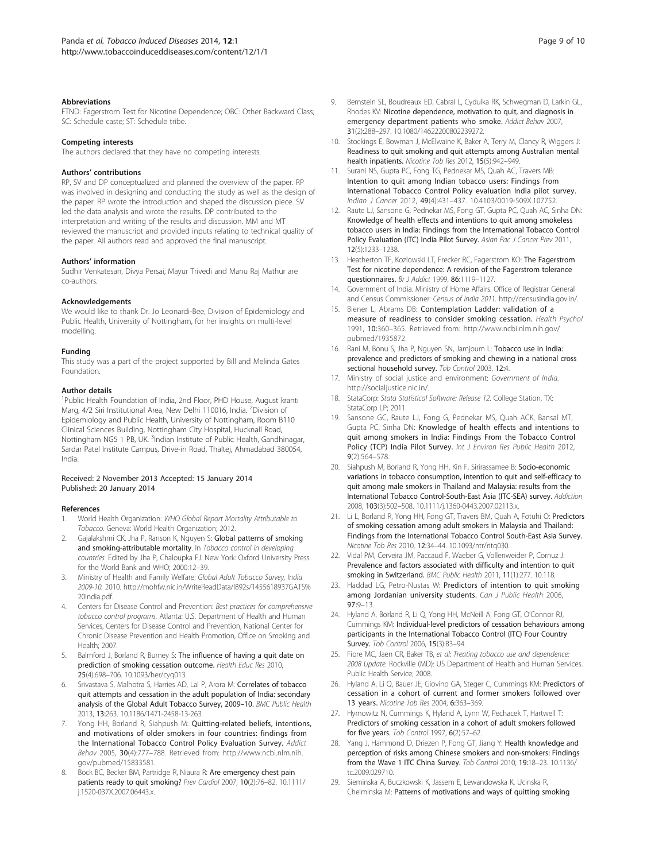#### <span id="page-8-0"></span>**Abbreviations**

FTND: Fagerstrom Test for Nicotine Dependence; OBC: Other Backward Class; SC: Schedule caste; ST: Schedule tribe.

#### Competing interests

The authors declared that they have no competing interests.

#### Authors' contributions

RP, SV and DP conceptualized and planned the overview of the paper. RP was involved in designing and conducting the study as well as the design of the paper. RP wrote the introduction and shaped the discussion piece. SV led the data analysis and wrote the results. DP contributed to the interpretation and writing of the results and discussion. MM and MT reviewed the manuscript and provided inputs relating to technical quality of the paper. All authors read and approved the final manuscript.

#### Authors' information

Sudhir Venkatesan, Divya Persai, Mayur Trivedi and Manu Raj Mathur are co-authors.

#### Acknowledgements

We would like to thank Dr. Jo Leonardi-Bee, Division of Epidemiology and Public Health, University of Nottingham, for her insights on multi-level modelling.

#### Funding

This study was a part of the project supported by Bill and Melinda Gates Foundation.

#### Author details

<sup>1</sup>Public Health Foundation of India, 2nd Floor, PHD House, August kranti Marg, 4/2 Siri Institutional Area, New Delhi 110016, India. <sup>2</sup>Division of Epidemiology and Public Health, University of Nottingham, Room B110 Clinical Sciences Building, Nottingham City Hospital, Hucknall Road, Nottingham NG5 1 PB, UK. <sup>3</sup>Indian Institute of Public Health, Gandhinagar, Sardar Patel Institute Campus, Drive-in Road, Thaltej, Ahmadabad 380054, India.

#### Received: 2 November 2013 Accepted: 15 January 2014 Published: 20 January 2014

#### References

- 1. World Health Organization: WHO Global Report Mortality Attributable to Tobacco. Geneva: World Health Organization; 2012.
- Gajalakshmi CK, Jha P, Ranson K, Nguyen S: Global patterns of smoking and smoking-attributable mortality. In Tobacco control in developing countries. Edited by Jha P, Chaloupka FJ. New York: Oxford University Press for the World Bank and WHO; 2000:12–39.
- 3. Ministry of Health and Family Welfare: Global Adult Tobacco Survey, India 2009-10. 2010. [http://mohfw.nic.in/WriteReadData/l892s/1455618937GATS%](http://mohfw.nic.in/WriteReadData/l892s/1455618937GATS%20India.pdf) [20India.pdf](http://mohfw.nic.in/WriteReadData/l892s/1455618937GATS%20India.pdf).
- 4. Centers for Disease Control and Prevention: Best practices for comprehensive tobacco control programs. Atlanta: U.S. Department of Health and Human Services, Centers for Disease Control and Prevention, National Center for Chronic Disease Prevention and Health Promotion, Office on Smoking and Health; 2007.
- 5. Balmford J, Borland R, Burney S: The influence of having a quit date on prediction of smoking cessation outcome. Health Educ Res 2010, 25(4):698–706. 10.1093/her/cyq013.
- Srivastava S, Malhotra S, Harries AD, Lal P, Arora M: Correlates of tobacco quit attempts and cessation in the adult population of India: secondary analysis of the Global Adult Tobacco Survey, 2009–10. BMC Public Health 2013, 13:263. 10.1186/1471-2458-13-263.
- 7. Yong HH, Borland R, Siahpush M: Quitting-related beliefs, intentions, and motivations of older smokers in four countries: findings from the International Tobacco Control Policy Evaluation Survey. Addict Behav 2005, 30(4):777–788. Retrieved from: [http://www.ncbi.nlm.nih.](http://www.ncbi.nlm.nih.gov/pubmed/15833581) [gov/pubmed/15833581](http://www.ncbi.nlm.nih.gov/pubmed/15833581).
- Bock BC, Becker BM, Partridge R, Niaura R: Are emergency chest pain patients ready to quit smoking? Prev Cardiol 2007, 10(2):76–82. 10.1111/ j.1520-037X.2007.06443.x.
- 9. Bernstein SL, Boudreaux ED, Cabral L, Cydulka RK, Schwegman D, Larkin GL, Rhodes KV: Nicotine dependence, motivation to quit, and diagnosis in emergency department patients who smoke. Addict Behav 2007, 31(2):288–297. 10.1080/14622200802239272.
- 10. Stockings E, Bowman J, McElwaine K, Baker A, Terry M, Clancy R, Wiggers J: Readiness to quit smoking and quit attempts among Australian mental health inpatients. Nicotine Tob Res 2012, 15(5):942–949.
- 11. Surani NS, Gupta PC, Fong TG, Pednekar MS, Quah AC, Travers MB: Intention to quit among Indian tobacco users: Findings from International Tobacco Control Policy evaluation India pilot survey. Indian J Cancer 2012, 49(4):431–437. 10.4103/0019-509X.107752.
- 12. Raute LJ, Sansone G, Pednekar MS, Fong GT, Gupta PC, Ouah AC, Sinha DN: Knowledge of health effects and intentions to quit among smokeless tobacco users in India: Findings from the International Tobacco Control Policy Evaluation (ITC) India Pilot Survey. Asian Pac J Cancer Prev 2011, 12(5):1233–1238.
- 13. Heatherton TF, Kozlowski LT, Frecker RC, Fagerstrom KO: The Fagerstrom Test for nicotine dependence: A revision of the Fagerstrom tolerance questionnaires. Br J Addict 1999, 86:1119–1127.
- 14. Government of India. Ministry of Home Affairs. Office of Registrar General and Census Commissioner: Census of India 2011. <http://censusindia.gov.in/>.
- 15. Biener L, Abrams DB: Contemplation Ladder: validation of a measure of readiness to consider smoking cessation. Health Psychol 1991, 10:360–365. Retrieved from: [http://www.ncbi.nlm.nih.gov/](http://www.ncbi.nlm.nih.gov/pubmed/1935872) [pubmed/1935872](http://www.ncbi.nlm.nih.gov/pubmed/1935872).
- 16. Rani M, Bonu S, Jha P, Nguyen SN, Jamjoum L: Tobacco use in India: prevalence and predictors of smoking and chewing in a national cross sectional household survey. Tob Control 2003, 12:4.
- 17. Ministry of social justice and environment: Government of India. http://socialiustice.nic.in/.
- 18. StataCorp: Stata Statistical Software: Release 12. College Station, TX: StataCorp LP; 2011.
- 19. Sansone GC, Raute LJ, Fong G, Pednekar MS, Quah ACK, Bansal MT, Gupta PC, Sinha DN: Knowledge of health effects and intentions to quit among smokers in India: Findings From the Tobacco Control Policy (TCP) India Pilot Survey. Int J Environ Res Public Health 2012, 9(2):564–578.
- 20. Siahpush M, Borland R, Yong HH, Kin F, Sirirassamee B: Socio-economic variations in tobacco consumption, intention to quit and self-efficacy to quit among male smokers in Thailand and Malaysia: results from the International Tobacco Control-South-East Asia (ITC-SEA) survey. Addiction 2008, 103(3):502–508. 10.1111/j.1360-0443.2007.02113.x.
- 21. Li L, Borland R, Yong HH, Fong GT, Travers BM, Quah A, Fotuhi O: Predictors of smoking cessation among adult smokers in Malaysia and Thailand: Findings from the International Tobacco Control South-East Asia Survey. Nicotine Tob Res 2010, 12:34–44. 10.1093/ntr/ntq030.
- 22. Vidal PM, Cerveira JM, Paccaud F, Waeber G, Vollenweider P, Cornuz J: Prevalence and factors associated with difficulty and intention to quit smoking in Switzerland. BMC Public Health 2011, 11(1):277. 10.118.
- 23. Haddad LG, Petro-Nustas W: Predictors of intention to quit smoking among Jordanian university students. Can J Public Health 2006, 97:9–13.
- 24. Hyland A, Borland R, Li Q, Yong HH, McNeill A, Fong GT, O'Connor RJ, Cummings KM: Individual-level predictors of cessation behaviours among participants in the International Tobacco Control (ITC) Four Country Survey. Tob Control 2006, 15(3):83–94.
- 25. Fiore MC, Jaen CR, Baker TB, et al: Treating tobacco use and dependence: 2008 Update. Rockville (MD): US Department of Health and Human Services. Public Health Service; 2008.
- 26. Hyland A, Li Q, Bauer JE, Giovino GA, Steger C, Cummings KM: Predictors of cessation in a cohort of current and former smokers followed over 13 years. Nicotine Tob Res 2004, 6:363-369.
- 27. Hymowitz N, Cummings K, Hyland A, Lynn W, Pechacek T, Hartwell T: Predictors of smoking cessation in a cohort of adult smokers followed for five years. Tob Control 1997, 6(2):57–62.
- 28. Yang J, Hammond D, Driezen P, Fong GT, Jiang Y: Health knowledge and perception of risks among Chinese smokers and non-smokers: Findings from the Wave 1 ITC China Survey. Tob Control 2010, 19:18–23. 10.1136/ tc.2009.029710.
- 29. Sieminska A, Buczkowski K, Jassem E, Lewandowska K, Ucinska R, Chelminska M: Patterns of motivations and ways of quitting smoking